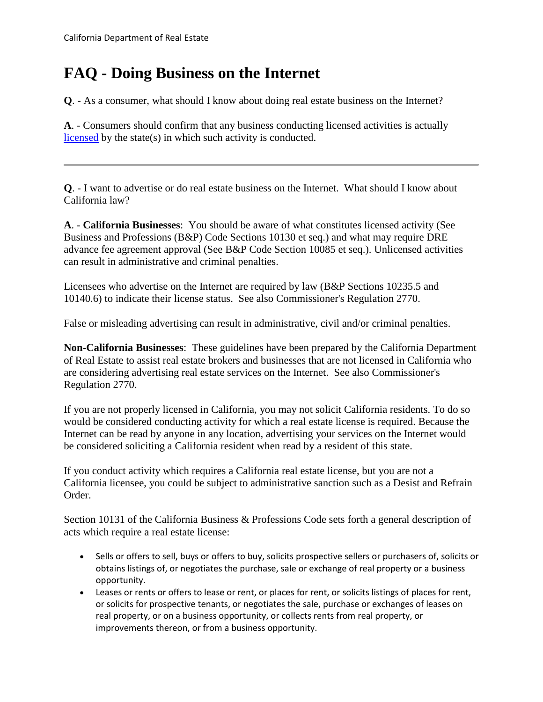## **FAQ - Doing Business on the Internet**

**Q**. - As a consumer, what should I know about doing real estate business on the Internet?

licensed by the state(s) in which such activity is conducted. **A**. - Consumers should confirm that any business conducting licensed activities is actually

 **Q**. - I want to advertise or do real estate business on the Internet. What should I know about California law?

 **A**. - **California Businesses**: You should be aware of what constitutes licensed activity (See Business and Professions (B&P) Code Sections 10130 et seq.) and what may require DRE advance fee agreement approval (See B&P Code Section 10085 et seq.). Unlicensed activities can result in administrative and criminal penalties.

 10140.6) to indicate their license status. See also Commissioner's Regulation 2770. Licensees who advertise on the Internet are required by law (B&P Sections 10235.5 and

False or misleading advertising can result in administrative, civil and/or criminal penalties.

 **Non-California Businesses**: These guidelines have been prepared by the California Department are considering advertising real estate services on the Internet. See also Commissioner's of Real Estate to assist real estate brokers and businesses that are not licensed in California who Regulation 2770.

If you are not properly licensed in California, you may not solicit California residents. To do so would be considered conducting activity for which a real estate license is required. Because the Internet can be read by anyone in any location, advertising your services on the Internet would be considered soliciting a California resident when read by a resident of this state.

 If you conduct activity which requires a California real estate license, but you are not a California licensee, you could be subject to administrative sanction such as a Desist and Refrain Order.

Section 10131 of the California Business & Professions Code sets forth a general description of acts which require a real estate license:

- obtains listings of, or negotiates the purchase, sale or exchange of real property or a business • Sells or offers to sell, buys or offers to buy, solicits prospective sellers or purchasers of, solicits or opportunity.
- • Leases or rents or offers to lease or rent, or places for rent, or solicits listings of places for rent, or solicits for prospective tenants, or negotiates the sale, purchase or exchanges of leases on real property, or on a business opportunity, or collects rents from real property, or improvements thereon, or from a business opportunity.